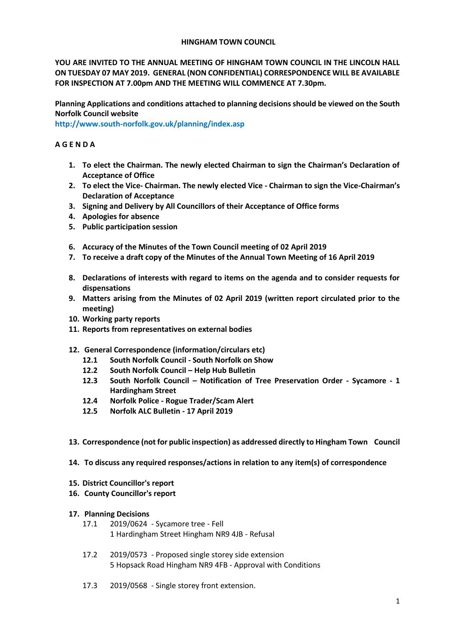### **HINGHAM TOWN COUNCIL**

**YOU ARE INVITED TO THE ANNUAL MEETING OF HINGHAM TOWN COUNCIL IN THE LINCOLN HALL ON TUESDAY 07 MAY 2019. GENERAL (NON CONFIDENTIAL) CORRESPONDENCE WILL BE AVAILABLE FOR INSPECTION AT 7.00pm AND THE MEETING WILL COMMENCE AT 7.30pm.** 

**Planning Applications and conditions attached to planning decisions should be viewed on the South Norfolk Council website** 

**<http://www.south-norfolk.gov.uk/planning/index.asp>**

# **A G E N D A**

- **1. To elect the Chairman. The newly elected Chairman to sign the Chairman's Declaration of Acceptance of Office**
- **2. To elect the Vice- Chairman. The newly elected Vice - Chairman to sign the Vice-Chairman's Declaration of Acceptance**
- **3. Signing and Delivery by All Councillors of their Acceptance of Office forms**
- **4. Apologies for absence**
- **5. Public participation session**
- **6. Accuracy of the Minutes of the Town Council meeting of 02 April 2019**
- **7. To receive a draft copy of the Minutes of the Annual Town Meeting of 16 April 2019**
- **8. Declarations of interests with regard to items on the agenda and to consider requests for dispensations**
- **9. Matters arising from the Minutes of 02 April 2019 (written report circulated prior to the meeting)**
- **10. Working party reports**
- **11. Reports from representatives on external bodies**
- **12. General Correspondence (information/circulars etc)**
	- **12.1 South Norfolk Council - South Norfolk on Show**
	- **12.2 South Norfolk Council – Help Hub Bulletin**
	- **12.3 South Norfolk Council – Notification of Tree Preservation Order - Sycamore - 1 Hardingham Street**
	- **12.4 Norfolk Police - Rogue Trader/Scam Alert**
	- **12.5 Norfolk ALC Bulletin - 17 April 2019**
- **13. Correspondence (not for public inspection) as addressed directly to Hingham Town Council**
- **14. To discuss any required responses/actions in relation to any item(s) of correspondence**

### **15. District Councillor's report**

**16. County Councillor's report**

### **17. Planning Decisions**

- 17.1 2019/0624 Sycamore tree Fell 1 Hardingham Street Hingham NR9 4JB - Refusal
- 17.2 2019/0573 Proposed single storey side extension 5 Hopsack Road Hingham NR9 4FB - Approval with Conditions
- 17.3 2019/0568 Single storey front extension.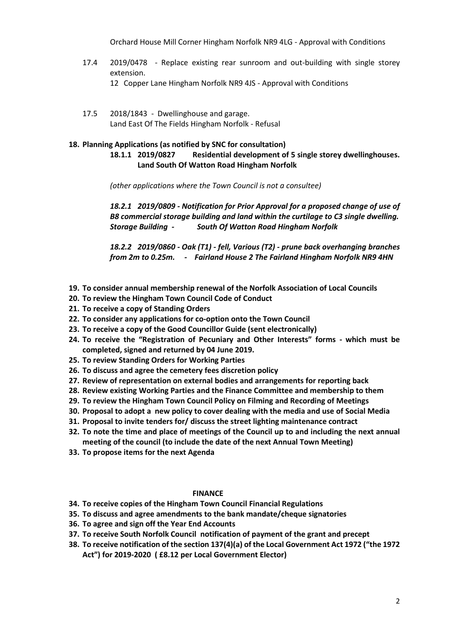Orchard House Mill Corner Hingham Norfolk NR9 4LG - Approval with Conditions

- 17.4 2019/0478 Replace existing rear sunroom and out-building with single storey extension.
	- 12 Copper Lane Hingham Norfolk NR9 4JS Approval with Conditions
- 17.5 2018/1843 Dwellinghouse and garage. Land East Of The Fields Hingham Norfolk - Refusal

# **18. Planning Applications (as notified by SNC for consultation)**

**18.1.1 2019/0827 Residential development of 5 single storey dwellinghouses. Land South Of Watton Road Hingham Norfolk**

*(other applications where the Town Council is not a consultee)*

*18.2.1 2019/0809 - Notification for Prior Approval for a proposed change of use of B8 commercial storage building and land within the curtilage to C3 single dwelling. Storage Building - South Of Watton Road Hingham Norfolk*

*18.2.2 2019/0860 - Oak (T1) - fell, Various (T2) - prune back overhanging branches from 2m to 0.25m. - Fairland House 2 The Fairland Hingham Norfolk NR9 4HN*

- **19. To consider annual membership renewal of the Norfolk Association of Local Councils**
- **20. To review the Hingham Town Council Code of Conduct**
- **21. To receive a copy of Standing Orders**
- **22. To consider any applications for co-option onto the Town Council**
- **23. To receive a copy of the Good Councillor Guide (sent electronically)**
- **24. To receive the "Registration of Pecuniary and Other Interests" forms - which must be completed, signed and returned by 04 June 2019.**
- **25. To review Standing Orders for Working Parties**
- **26. To discuss and agree the cemetery fees discretion policy**
- **27. Review of representation on external bodies and arrangements for reporting back**
- **28. Review existing Working Parties and the Finance Committee and membership to them**
- **29. To review the Hingham Town Council Policy on Filming and Recording of Meetings**
- **30. Proposal to adopt a new policy to cover dealing with the media and use of Social Media**
- **31. Proposal to invite tenders for/ discuss the street lighting maintenance contract**
- **32. To note the time and place of meetings of the Council up to and including the next annual meeting of the council (to include the date of the next Annual Town Meeting)**
- **33. To propose items for the next Agenda**

#### **FINANCE**

- **34. To receive copies of the Hingham Town Council Financial Regulations**
- **35. To discuss and agree amendments to the bank mandate/cheque signatories**
- **36. To agree and sign off the Year End Accounts**
- **37. To receive South Norfolk Council notification of payment of the grant and precept**
- **38. To receive notification of the section 137(4)(a) of the Local Government Act 1972 ("the 1972 Act") for 2019-2020 ( £8.12 per Local Government Elector)**